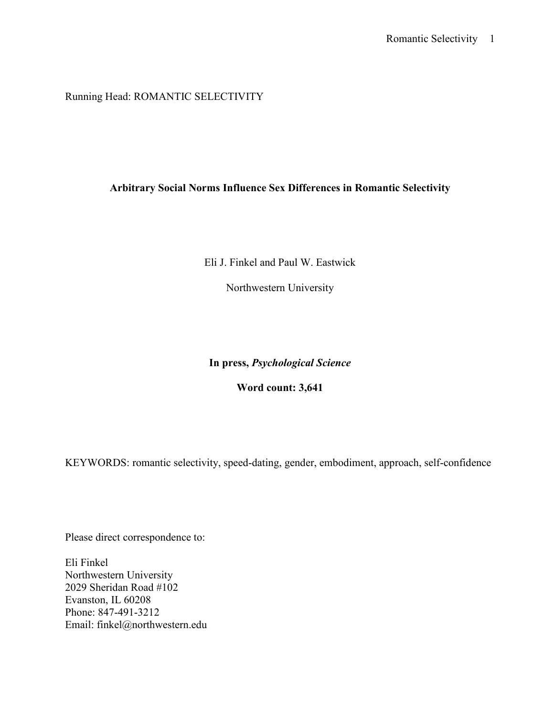Running Head: ROMANTIC SELECTIVITY

## Arbitrary Social Norms Influence Sex Differences in Romantic Selectivity

Eli J. Finkel and Paul W. Eastwick

Northwestern University

In press, Psychological Science

Word count: 3,641

KEYWORDS: romantic selectivity, speed-dating, gender, embodiment, approach, self-confidence

Please direct correspondence to:

Eli Finkel Northwestern University 2029 Sheridan Road #102 Evanston, IL 60208 Phone: 847-491-3212 Email: finkel@northwestern.edu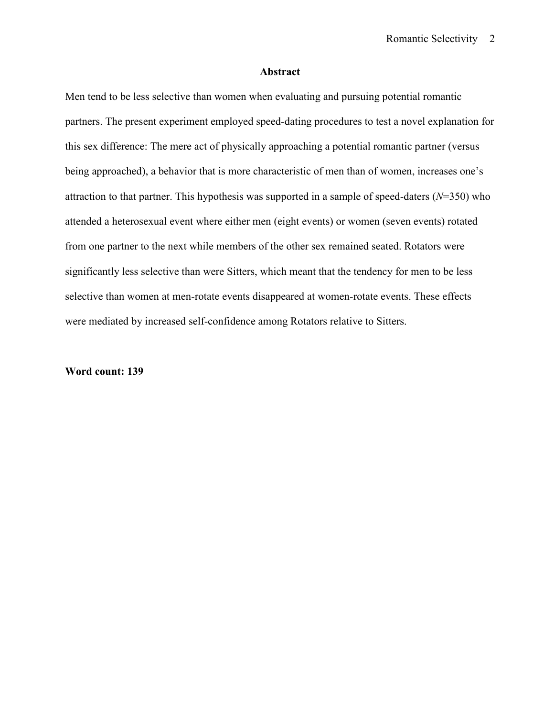## Abstract

Men tend to be less selective than women when evaluating and pursuing potential romantic partners. The present experiment employed speed-dating procedures to test a novel explanation for this sex difference: The mere act of physically approaching a potential romantic partner (versus being approached), a behavior that is more characteristic of men than of women, increases one's attraction to that partner. This hypothesis was supported in a sample of speed-daters  $(N=350)$  who attended a heterosexual event where either men (eight events) or women (seven events) rotated from one partner to the next while members of the other sex remained seated. Rotators were significantly less selective than were Sitters, which meant that the tendency for men to be less selective than women at men-rotate events disappeared at women-rotate events. These effects were mediated by increased self-confidence among Rotators relative to Sitters.

## Word count: 139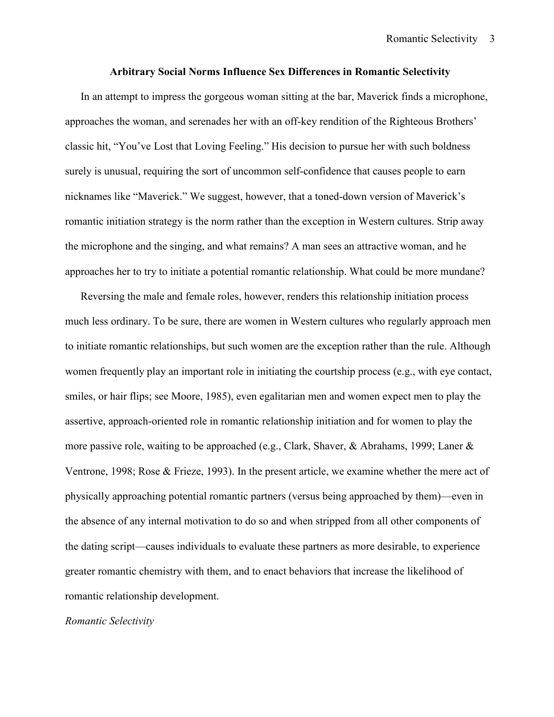## Arbitrary Social Norms Influence Sex Differences in Romantic Selectivity

In an attempt to impress the gorgeous woman sitting at the bar, Maverick finds a microphone, approaches the woman, and serenades her with an off-key rendition of the Righteous Brothers' classic hit, "You've Lost that Loving Feeling." His decision to pursue her with such boldness surely is unusual, requiring the sort of uncommon self-confidence that causes people to earn nicknames like "Maverick." We suggest, however, that a toned-down version of Maverick's romantic initiation strategy is the norm rather than the exception in Western cultures. Strip away the microphone and the singing, and what remains? A man sees an attractive woman, and he approaches her to try to initiate a potential romantic relationship. What could be more mundane?

Reversing the male and female roles, however, renders this relationship initiation process much less ordinary. To be sure, there are women in Western cultures who regularly approach men to initiate romantic relationships, but such women are the exception rather than the rule. Although women frequently play an important role in initiating the courtship process (e.g., with eye contact, smiles, or hair flips; see Moore, 1985), even egalitarian men and women expect men to play the assertive, approach-oriented role in romantic relationship initiation and for women to play the more passive role, waiting to be approached (e.g., Clark, Shaver, & Abrahams, 1999; Laner & Ventrone, 1998; Rose & Frieze, 1993). In the present article, we examine whether the mere act of physically approaching potential romantic partners (versus being approached by them)—even in the absence of any internal motivation to do so and when stripped from all other components of the dating script—causes individuals to evaluate these partners as more desirable, to experience greater romantic chemistry with them, and to enact behaviors that increase the likelihood of romantic relationship development.

#### Romantic Selectivity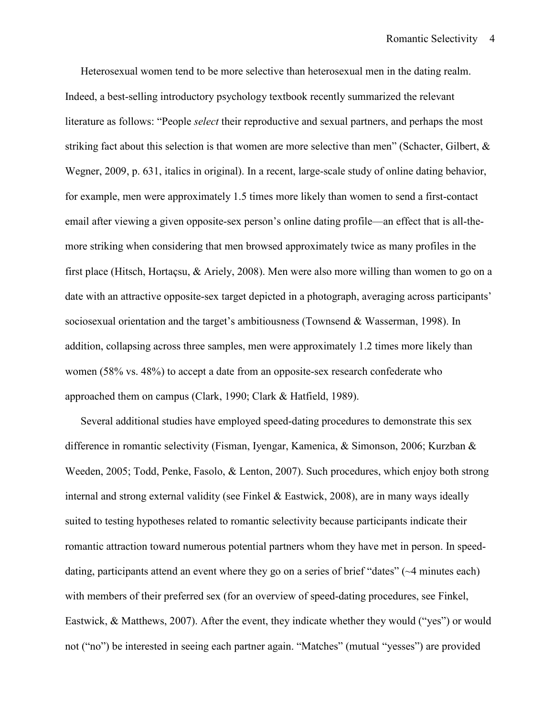Heterosexual women tend to be more selective than heterosexual men in the dating realm. Indeed, a best-selling introductory psychology textbook recently summarized the relevant literature as follows: "People *select* their reproductive and sexual partners, and perhaps the most striking fact about this selection is that women are more selective than men" (Schacter, Gilbert, & Wegner, 2009, p. 631, italics in original). In a recent, large-scale study of online dating behavior, for example, men were approximately 1.5 times more likely than women to send a first-contact email after viewing a given opposite-sex person's online dating profile—an effect that is all-themore striking when considering that men browsed approximately twice as many profiles in the first place (Hitsch, Hortaçsu, & Ariely, 2008). Men were also more willing than women to go on a date with an attractive opposite-sex target depicted in a photograph, averaging across participants' sociosexual orientation and the target's ambitiousness (Townsend & Wasserman, 1998). In addition, collapsing across three samples, men were approximately 1.2 times more likely than women (58% vs. 48%) to accept a date from an opposite-sex research confederate who approached them on campus (Clark, 1990; Clark & Hatfield, 1989).

Several additional studies have employed speed-dating procedures to demonstrate this sex difference in romantic selectivity (Fisman, Iyengar, Kamenica, & Simonson, 2006; Kurzban & Weeden, 2005; Todd, Penke, Fasolo, & Lenton, 2007). Such procedures, which enjoy both strong internal and strong external validity (see Finkel & Eastwick, 2008), are in many ways ideally suited to testing hypotheses related to romantic selectivity because participants indicate their romantic attraction toward numerous potential partners whom they have met in person. In speeddating, participants attend an event where they go on a series of brief "dates" (~4 minutes each) with members of their preferred sex (for an overview of speed-dating procedures, see Finkel, Eastwick, & Matthews, 2007). After the event, they indicate whether they would ("yes") or would not ("no") be interested in seeing each partner again. "Matches" (mutual "yesses") are provided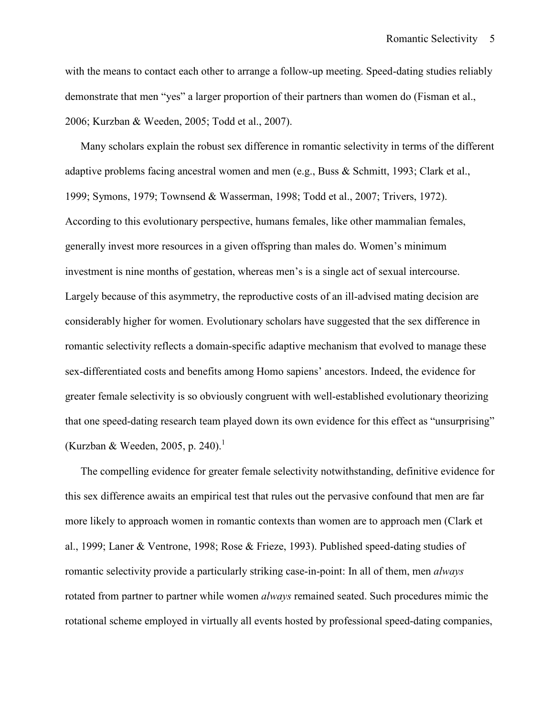with the means to contact each other to arrange a follow-up meeting. Speed-dating studies reliably demonstrate that men "yes" a larger proportion of their partners than women do (Fisman et al., 2006; Kurzban & Weeden, 2005; Todd et al., 2007).

Many scholars explain the robust sex difference in romantic selectivity in terms of the different adaptive problems facing ancestral women and men (e.g., Buss & Schmitt, 1993; Clark et al., 1999; Symons, 1979; Townsend & Wasserman, 1998; Todd et al., 2007; Trivers, 1972). According to this evolutionary perspective, humans females, like other mammalian females, generally invest more resources in a given offspring than males do. Women's minimum investment is nine months of gestation, whereas men's is a single act of sexual intercourse. Largely because of this asymmetry, the reproductive costs of an ill-advised mating decision are considerably higher for women. Evolutionary scholars have suggested that the sex difference in romantic selectivity reflects a domain-specific adaptive mechanism that evolved to manage these sex-differentiated costs and benefits among Homo sapiens' ancestors. Indeed, the evidence for greater female selectivity is so obviously congruent with well-established evolutionary theorizing that one speed-dating research team played down its own evidence for this effect as "unsurprising" (Kurzban & Weeden, 2005, p. 240).<sup>1</sup>

The compelling evidence for greater female selectivity notwithstanding, definitive evidence for this sex difference awaits an empirical test that rules out the pervasive confound that men are far more likely to approach women in romantic contexts than women are to approach men (Clark et al., 1999; Laner & Ventrone, 1998; Rose & Frieze, 1993). Published speed-dating studies of romantic selectivity provide a particularly striking case-in-point: In all of them, men *always* rotated from partner to partner while women *always* remained seated. Such procedures mimic the rotational scheme employed in virtually all events hosted by professional speed-dating companies,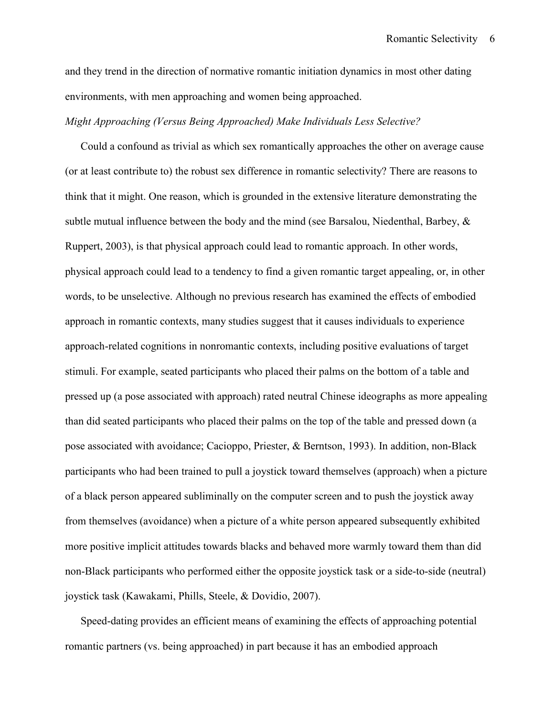and they trend in the direction of normative romantic initiation dynamics in most other dating environments, with men approaching and women being approached.

## Might Approaching (Versus Being Approached) Make Individuals Less Selective?

Could a confound as trivial as which sex romantically approaches the other on average cause (or at least contribute to) the robust sex difference in romantic selectivity? There are reasons to think that it might. One reason, which is grounded in the extensive literature demonstrating the subtle mutual influence between the body and the mind (see Barsalou, Niedenthal, Barbey,  $\&$ Ruppert, 2003), is that physical approach could lead to romantic approach. In other words, physical approach could lead to a tendency to find a given romantic target appealing, or, in other words, to be unselective. Although no previous research has examined the effects of embodied approach in romantic contexts, many studies suggest that it causes individuals to experience approach-related cognitions in nonromantic contexts, including positive evaluations of target stimuli. For example, seated participants who placed their palms on the bottom of a table and pressed up (a pose associated with approach) rated neutral Chinese ideographs as more appealing than did seated participants who placed their palms on the top of the table and pressed down (a pose associated with avoidance; Cacioppo, Priester, & Berntson, 1993). In addition, non-Black participants who had been trained to pull a joystick toward themselves (approach) when a picture of a black person appeared subliminally on the computer screen and to push the joystick away from themselves (avoidance) when a picture of a white person appeared subsequently exhibited more positive implicit attitudes towards blacks and behaved more warmly toward them than did non-Black participants who performed either the opposite joystick task or a side-to-side (neutral) joystick task (Kawakami, Phills, Steele, & Dovidio, 2007).

Speed-dating provides an efficient means of examining the effects of approaching potential romantic partners (vs. being approached) in part because it has an embodied approach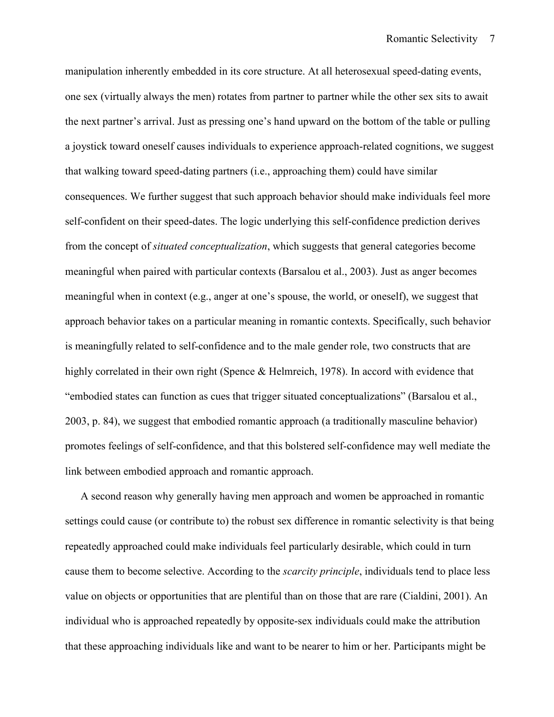manipulation inherently embedded in its core structure. At all heterosexual speed-dating events, one sex (virtually always the men) rotates from partner to partner while the other sex sits to await the next partner's arrival. Just as pressing one's hand upward on the bottom of the table or pulling a joystick toward oneself causes individuals to experience approach-related cognitions, we suggest that walking toward speed-dating partners (i.e., approaching them) could have similar consequences. We further suggest that such approach behavior should make individuals feel more self-confident on their speed-dates. The logic underlying this self-confidence prediction derives from the concept of situated conceptualization, which suggests that general categories become meaningful when paired with particular contexts (Barsalou et al., 2003). Just as anger becomes meaningful when in context (e.g., anger at one's spouse, the world, or oneself), we suggest that approach behavior takes on a particular meaning in romantic contexts. Specifically, such behavior is meaningfully related to self-confidence and to the male gender role, two constructs that are highly correlated in their own right (Spence & Helmreich, 1978). In accord with evidence that "embodied states can function as cues that trigger situated conceptualizations" (Barsalou et al., 2003, p. 84), we suggest that embodied romantic approach (a traditionally masculine behavior) promotes feelings of self-confidence, and that this bolstered self-confidence may well mediate the link between embodied approach and romantic approach.

A second reason why generally having men approach and women be approached in romantic settings could cause (or contribute to) the robust sex difference in romantic selectivity is that being repeatedly approached could make individuals feel particularly desirable, which could in turn cause them to become selective. According to the scarcity principle, individuals tend to place less value on objects or opportunities that are plentiful than on those that are rare (Cialdini, 2001). An individual who is approached repeatedly by opposite-sex individuals could make the attribution that these approaching individuals like and want to be nearer to him or her. Participants might be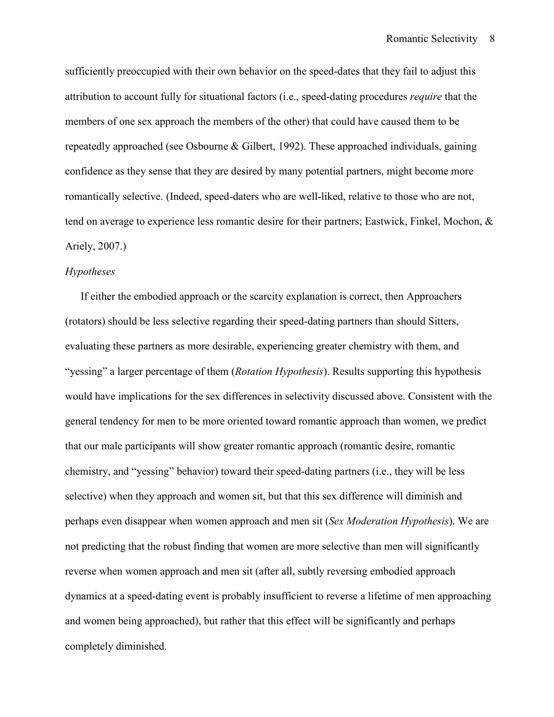sufficiently preoccupied with their own behavior on the speed-dates that they fail to adjust this attribution to account fully for situational factors (i.e., speed-dating procedures require that the members of one sex approach the members of the other) that could have caused them to be repeatedly approached (see Osbourne & Gilbert, 1992). These approached individuals, gaining confidence as they sense that they are desired by many potential partners, might become more romantically selective. (Indeed, speed-daters who are well-liked, relative to those who are not, tend on average to experience less romantic desire for their partners; Eastwick, Finkel, Mochon, & Ariely, 2007.)

## Hypotheses

If either the embodied approach or the scarcity explanation is correct, then Approachers (rotators) should be less selective regarding their speed-dating partners than should Sitters, evaluating these partners as more desirable, experiencing greater chemistry with them, and "yessing" a larger percentage of them (*Rotation Hypothesis*). Results supporting this hypothesis would have implications for the sex differences in selectivity discussed above. Consistent with the general tendency for men to be more oriented toward romantic approach than women, we predict that our male participants will show greater romantic approach (romantic desire, romantic chemistry, and "yessing" behavior) toward their speed-dating partners (i.e., they will be less selective) when they approach and women sit, but that this sex difference will diminish and perhaps even disappear when women approach and men sit (Sex Moderation Hypothesis). We are not predicting that the robust finding that women are more selective than men will significantly reverse when women approach and men sit (after all, subtly reversing embodied approach dynamics at a speed-dating event is probably insufficient to reverse a lifetime of men approaching and women being approached), but rather that this effect will be significantly and perhaps completely diminished.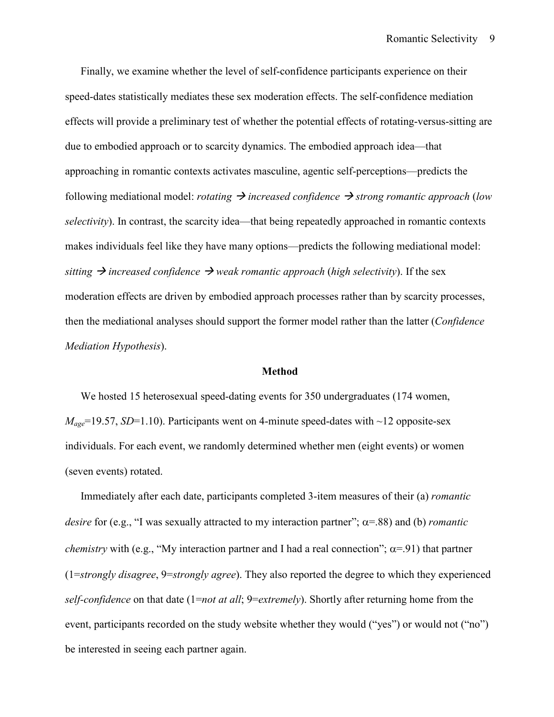Finally, we examine whether the level of self-confidence participants experience on their speed-dates statistically mediates these sex moderation effects. The self-confidence mediation effects will provide a preliminary test of whether the potential effects of rotating-versus-sitting are due to embodied approach or to scarcity dynamics. The embodied approach idea—that approaching in romantic contexts activates masculine, agentic self-perceptions—predicts the following mediational model: *rotating*  $\rightarrow$  *increased confidence*  $\rightarrow$  *strong romantic approach (low* selectivity). In contrast, the scarcity idea—that being repeatedly approached in romantic contexts makes individuals feel like they have many options—predicts the following mediational model: sitting  $\rightarrow$  increased confidence  $\rightarrow$  weak romantic approach (high selectivity). If the sex moderation effects are driven by embodied approach processes rather than by scarcity processes, then the mediational analyses should support the former model rather than the latter (Confidence Mediation Hypothesis).

#### Method

We hosted 15 heterosexual speed-dating events for 350 undergraduates (174 women,  $M_{\text{age}}$ =19.57, SD=1.10). Participants went on 4-minute speed-dates with ~12 opposite-sex individuals. For each event, we randomly determined whether men (eight events) or women (seven events) rotated.

Immediately after each date, participants completed 3-item measures of their (a) romantic desire for (e.g., "I was sexually attracted to my interaction partner";  $\alpha$ =.88) and (b) *romantic chemistry* with (e.g., "My interaction partner and I had a real connection";  $\alpha$ =.91) that partner (1=strongly disagree, 9=strongly agree). They also reported the degree to which they experienced self-confidence on that date  $(1=not \ at \ all; 9=extremely)$ . Shortly after returning home from the event, participants recorded on the study website whether they would ("yes") or would not ("no") be interested in seeing each partner again.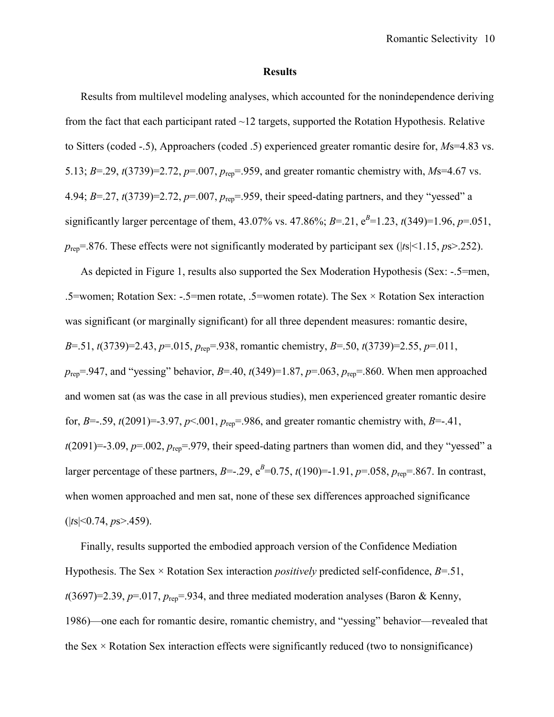#### Results

Results from multilevel modeling analyses, which accounted for the nonindependence deriving from the fact that each participant rated  $\sim$ 12 targets, supported the Rotation Hypothesis. Relative to Sitters (coded -.5), Approachers (coded .5) experienced greater romantic desire for, Ms=4.83 vs. 5.13; B=.29,  $t(3739)=2.72$ ,  $p=.007$ ,  $p_{ren}=.959$ , and greater romantic chemistry with, Ms=4.67 vs. 4.94;  $B = 27$ ,  $t(3739)=2.72$ ,  $p=0.007$ ,  $p_{ren} = 959$ , their speed-dating partners, and they "yessed" a significantly larger percentage of them, 43.07% vs. 47.86%;  $B=21$ ,  $e^{B}=1.23$ ,  $t(349)=1.96$ ,  $p=.051$ ,  $p_{\text{rep}}$ =.876. These effects were not significantly moderated by participant sex (|ts|<1.15, ps>.252).

As depicted in Figure 1, results also supported the Sex Moderation Hypothesis (Sex: -.5=men, .5=women; Rotation Sex: -.5=men rotate, .5=women rotate). The Sex × Rotation Sex interaction was significant (or marginally significant) for all three dependent measures: romantic desire, B=.51,  $t(3739)=2.43$ ,  $p=0.015$ ,  $p_{ren} = 0.938$ , romantic chemistry, B=.50,  $t(3739)=2.55$ ,  $p=0.011$ ,  $p_{\text{rep}}$ =.947, and "yessing" behavior, B=.40, t(349)=1.87, p=.063,  $p_{\text{rep}}$ =.860. When men approached and women sat (as was the case in all previous studies), men experienced greater romantic desire for, B=-.59,  $t(2091)=3.97$ ,  $p<0.01$ ,  $p_{rep}=0.986$ , and greater romantic chemistry with, B=-.41,  $t(2091)=-3.09, p=.002, p_{ren}=.979$ , their speed-dating partners than women did, and they "yessed" a larger percentage of these partners, B=-.29,  $e^{B}=0.75$ ,  $t(190)=-1.91$ ,  $p=.058$ ,  $p_{rep}=.867$ . In contrast, when women approached and men sat, none of these sex differences approached significance  $(|ts|<0.74, ps>0.459).$ 

Finally, results supported the embodied approach version of the Confidence Mediation Hypothesis. The Sex  $\times$  Rotation Sex interaction *positively* predicted self-confidence,  $B=51$ ,  $t(3697)=2.39, p=.017, p_{rep}=.934,$  and three mediated moderation analyses (Baron & Kenny, 1986)—one each for romantic desire, romantic chemistry, and "yessing" behavior—revealed that the Sex  $\times$  Rotation Sex interaction effects were significantly reduced (two to nonsignificance)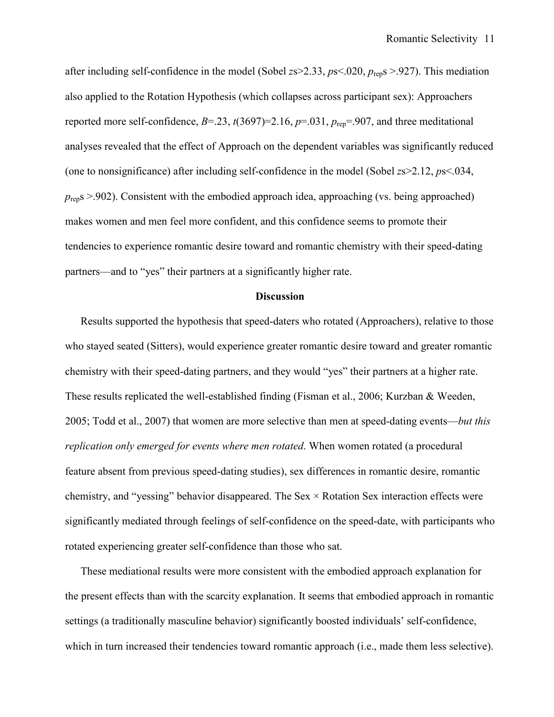after including self-confidence in the model (Sobel  $z\approx 2.33$ ,  $p\approx 0.020$ ,  $p_{\text{ren}}\approx 0.927$ ). This mediation also applied to the Rotation Hypothesis (which collapses across participant sex): Approachers reported more self-confidence,  $B = 23$ ,  $t(3697)=2.16$ ,  $p=.031$ ,  $p_{\text{ren}} = .907$ , and three meditational analyses revealed that the effect of Approach on the dependent variables was significantly reduced (one to nonsignificance) after including self-confidence in the model (Sobel  $z_s > 2.12$ ,  $p_s < 0.034$ ,  $p_{\text{rep}}$ s >.902). Consistent with the embodied approach idea, approaching (vs. being approached) makes women and men feel more confident, and this confidence seems to promote their tendencies to experience romantic desire toward and romantic chemistry with their speed-dating partners—and to "yes" their partners at a significantly higher rate.

#### **Discussion**

Results supported the hypothesis that speed-daters who rotated (Approachers), relative to those who stayed seated (Sitters), would experience greater romantic desire toward and greater romantic chemistry with their speed-dating partners, and they would "yes" their partners at a higher rate. These results replicated the well-established finding (Fisman et al., 2006; Kurzban & Weeden, 2005; Todd et al., 2007) that women are more selective than men at speed-dating events—but this replication only emerged for events where men rotated. When women rotated (a procedural feature absent from previous speed-dating studies), sex differences in romantic desire, romantic chemistry, and "yessing" behavior disappeared. The Sex  $\times$  Rotation Sex interaction effects were significantly mediated through feelings of self-confidence on the speed-date, with participants who rotated experiencing greater self-confidence than those who sat.

These mediational results were more consistent with the embodied approach explanation for the present effects than with the scarcity explanation. It seems that embodied approach in romantic settings (a traditionally masculine behavior) significantly boosted individuals' self-confidence, which in turn increased their tendencies toward romantic approach (i.e., made them less selective).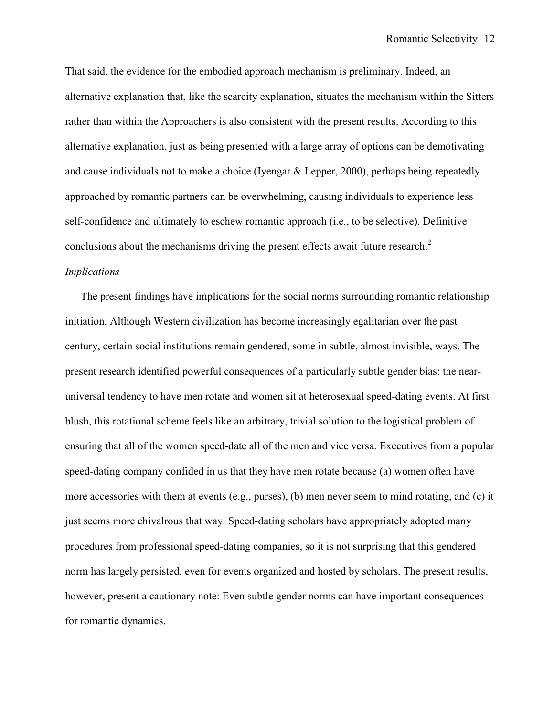That said, the evidence for the embodied approach mechanism is preliminary. Indeed, an alternative explanation that, like the scarcity explanation, situates the mechanism within the Sitters rather than within the Approachers is also consistent with the present results. According to this alternative explanation, just as being presented with a large array of options can be demotivating and cause individuals not to make a choice (Iyengar & Lepper, 2000), perhaps being repeatedly approached by romantic partners can be overwhelming, causing individuals to experience less self-confidence and ultimately to eschew romantic approach (i.e., to be selective). Definitive conclusions about the mechanisms driving the present effects await future research. $2$ 

## Implications

The present findings have implications for the social norms surrounding romantic relationship initiation. Although Western civilization has become increasingly egalitarian over the past century, certain social institutions remain gendered, some in subtle, almost invisible, ways. The present research identified powerful consequences of a particularly subtle gender bias: the nearuniversal tendency to have men rotate and women sit at heterosexual speed-dating events. At first blush, this rotational scheme feels like an arbitrary, trivial solution to the logistical problem of ensuring that all of the women speed-date all of the men and vice versa. Executives from a popular speed-dating company confided in us that they have men rotate because (a) women often have more accessories with them at events (e.g., purses), (b) men never seem to mind rotating, and (c) it just seems more chivalrous that way. Speed-dating scholars have appropriately adopted many procedures from professional speed-dating companies, so it is not surprising that this gendered norm has largely persisted, even for events organized and hosted by scholars. The present results, however, present a cautionary note: Even subtle gender norms can have important consequences for romantic dynamics.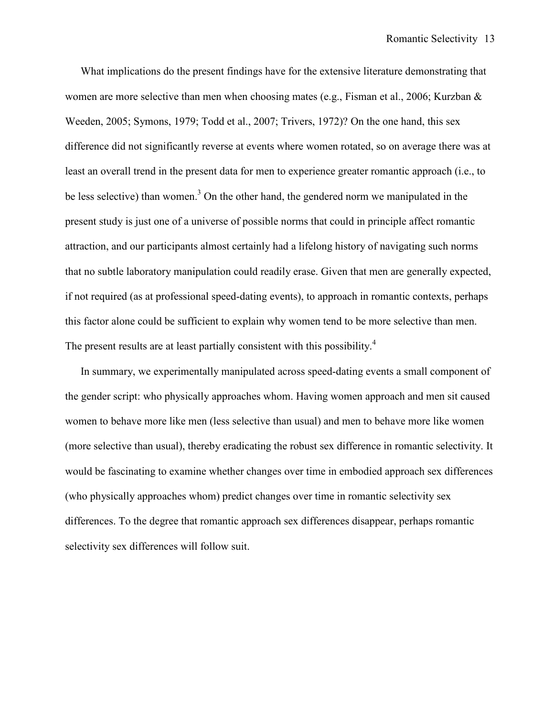What implications do the present findings have for the extensive literature demonstrating that women are more selective than men when choosing mates (e.g., Fisman et al., 2006; Kurzban & Weeden, 2005; Symons, 1979; Todd et al., 2007; Trivers, 1972)? On the one hand, this sex difference did not significantly reverse at events where women rotated, so on average there was at least an overall trend in the present data for men to experience greater romantic approach (i.e., to be less selective) than women.<sup>3</sup> On the other hand, the gendered norm we manipulated in the present study is just one of a universe of possible norms that could in principle affect romantic attraction, and our participants almost certainly had a lifelong history of navigating such norms that no subtle laboratory manipulation could readily erase. Given that men are generally expected, if not required (as at professional speed-dating events), to approach in romantic contexts, perhaps this factor alone could be sufficient to explain why women tend to be more selective than men. The present results are at least partially consistent with this possibility.<sup>4</sup>

In summary, we experimentally manipulated across speed-dating events a small component of the gender script: who physically approaches whom. Having women approach and men sit caused women to behave more like men (less selective than usual) and men to behave more like women (more selective than usual), thereby eradicating the robust sex difference in romantic selectivity. It would be fascinating to examine whether changes over time in embodied approach sex differences (who physically approaches whom) predict changes over time in romantic selectivity sex differences. To the degree that romantic approach sex differences disappear, perhaps romantic selectivity sex differences will follow suit.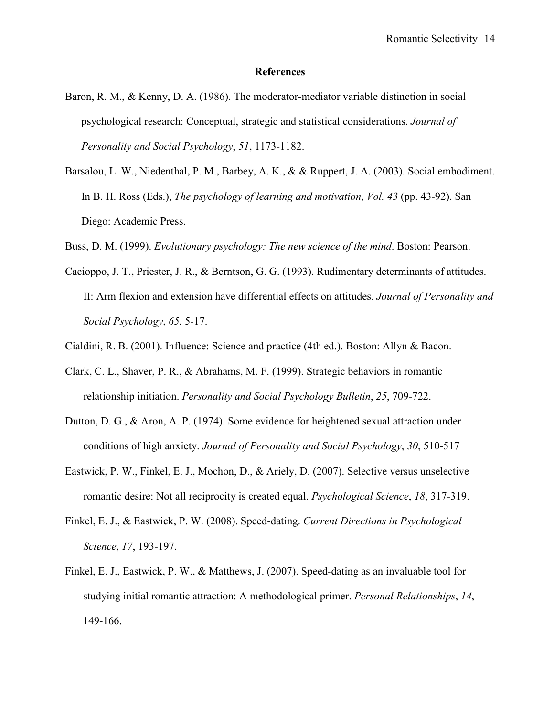#### References

- Baron, R. M., & Kenny, D. A. (1986). The moderator-mediator variable distinction in social psychological research: Conceptual, strategic and statistical considerations. Journal of Personality and Social Psychology, 51, 1173-1182.
- Barsalou, L. W., Niedenthal, P. M., Barbey, A. K., & & Ruppert, J. A. (2003). Social embodiment. In B. H. Ross (Eds.), *The psychology of learning and motivation*, *Vol. 43* (pp. 43-92). San Diego: Academic Press.
- Buss, D. M. (1999). Evolutionary psychology: The new science of the mind. Boston: Pearson.
- Cacioppo, J. T., Priester, J. R., & Berntson, G. G. (1993). Rudimentary determinants of attitudes. II: Arm flexion and extension have differential effects on attitudes. Journal of Personality and Social Psychology, 65, 5-17.
- Cialdini, R. B. (2001). Influence: Science and practice (4th ed.). Boston: Allyn & Bacon.
- Clark, C. L., Shaver, P. R., & Abrahams, M. F. (1999). Strategic behaviors in romantic relationship initiation. Personality and Social Psychology Bulletin, 25, 709-722.
- Dutton, D. G., & Aron, A. P. (1974). Some evidence for heightened sexual attraction under conditions of high anxiety. Journal of Personality and Social Psychology, 30, 510-517
- Eastwick, P. W., Finkel, E. J., Mochon, D., & Ariely, D. (2007). Selective versus unselective romantic desire: Not all reciprocity is created equal. Psychological Science, 18, 317-319.
- Finkel, E. J., & Eastwick, P. W. (2008). Speed-dating. Current Directions in Psychological Science, 17, 193-197.
- Finkel, E. J., Eastwick, P. W., & Matthews, J. (2007). Speed-dating as an invaluable tool for studying initial romantic attraction: A methodological primer. Personal Relationships, 14, 149-166.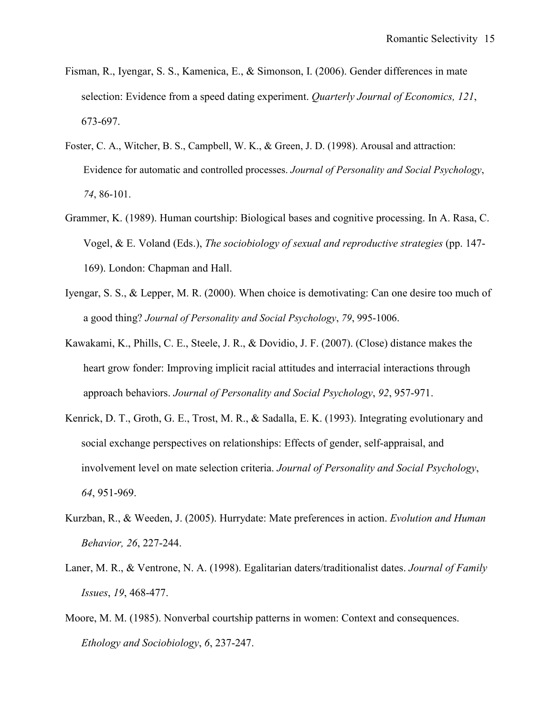- Fisman, R., Iyengar, S. S., Kamenica, E., & Simonson, I. (2006). Gender differences in mate selection: Evidence from a speed dating experiment. *Quarterly Journal of Economics*, 121, 673-697.
- Foster, C. A., Witcher, B. S., Campbell, W. K., & Green, J. D. (1998). Arousal and attraction: Evidence for automatic and controlled processes. Journal of Personality and Social Psychology, 74, 86-101.
- Grammer, K. (1989). Human courtship: Biological bases and cognitive processing. In A. Rasa, C. Vogel, & E. Voland (Eds.), The sociobiology of sexual and reproductive strategies (pp. 147- 169). London: Chapman and Hall.
- Iyengar, S. S., & Lepper, M. R. (2000). When choice is demotivating: Can one desire too much of a good thing? Journal of Personality and Social Psychology, 79, 995-1006.
- Kawakami, K., Phills, C. E., Steele, J. R., & Dovidio, J. F. (2007). (Close) distance makes the heart grow fonder: Improving implicit racial attitudes and interracial interactions through approach behaviors. Journal of Personality and Social Psychology, 92, 957-971.
- Kenrick, D. T., Groth, G. E., Trost, M. R., & Sadalla, E. K. (1993). Integrating evolutionary and social exchange perspectives on relationships: Effects of gender, self-appraisal, and involvement level on mate selection criteria. Journal of Personality and Social Psychology, 64, 951-969.
- Kurzban, R., & Weeden, J. (2005). Hurrydate: Mate preferences in action. Evolution and Human Behavior, 26, 227-244.
- Laner, M. R., & Ventrone, N. A. (1998). Egalitarian daters/traditionalist dates. Journal of Family Issues, 19, 468-477.
- Moore, M. M. (1985). Nonverbal courtship patterns in women: Context and consequences. Ethology and Sociobiology, 6, 237-247.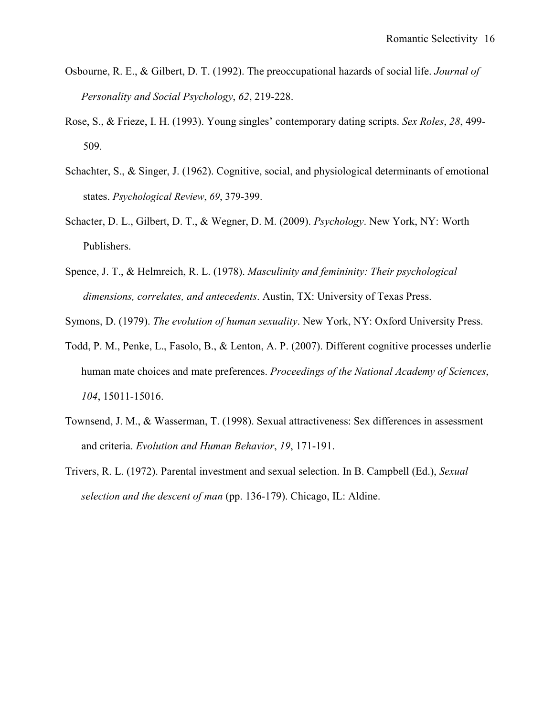- Osbourne, R. E., & Gilbert, D. T. (1992). The preoccupational hazards of social life. Journal of Personality and Social Psychology, 62, 219-228.
- Rose, S., & Frieze, I. H. (1993). Young singles' contemporary dating scripts. Sex Roles, 28, 499- 509.
- Schachter, S., & Singer, J. (1962). Cognitive, social, and physiological determinants of emotional states. Psychological Review, 69, 379-399.
- Schacter, D. L., Gilbert, D. T., & Wegner, D. M. (2009). Psychology. New York, NY: Worth Publishers.
- Spence, J. T., & Helmreich, R. L. (1978). Masculinity and femininity: Their psychological dimensions, correlates, and antecedents. Austin, TX: University of Texas Press.

Symons, D. (1979). The evolution of human sexuality. New York, NY: Oxford University Press.

- Todd, P. M., Penke, L., Fasolo, B., & Lenton, A. P. (2007). Different cognitive processes underlie human mate choices and mate preferences. Proceedings of the National Academy of Sciences, 104, 15011-15016.
- Townsend, J. M., & Wasserman, T. (1998). Sexual attractiveness: Sex differences in assessment and criteria. Evolution and Human Behavior, 19, 171-191.
- Trivers, R. L. (1972). Parental investment and sexual selection. In B. Campbell (Ed.), Sexual selection and the descent of man (pp. 136-179). Chicago, IL: Aldine.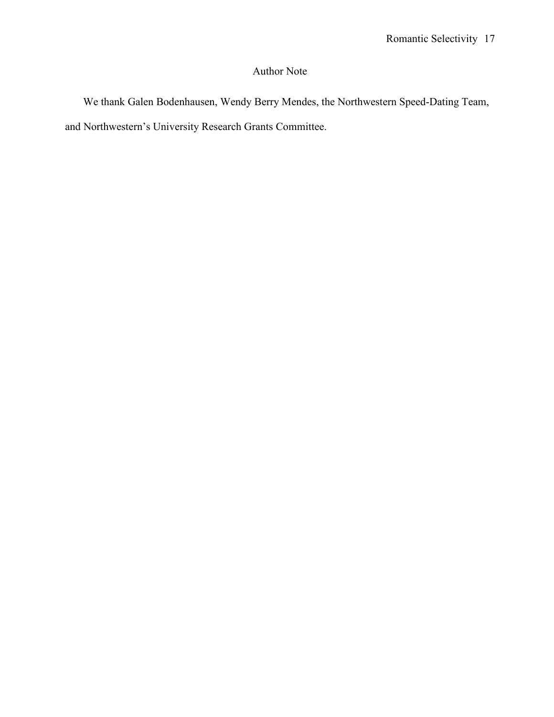# Author Note

We thank Galen Bodenhausen, Wendy Berry Mendes, the Northwestern Speed-Dating Team, and Northwestern's University Research Grants Committee.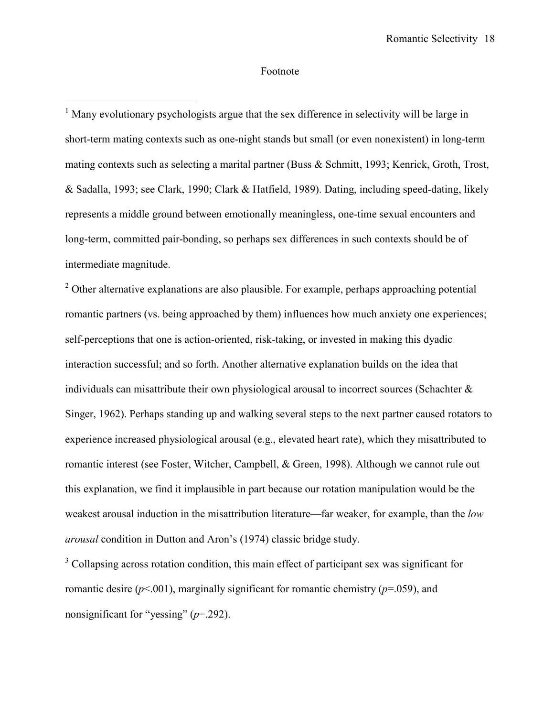## Footnote

-

<sup>1</sup> Many evolutionary psychologists argue that the sex difference in selectivity will be large in short-term mating contexts such as one-night stands but small (or even nonexistent) in long-term mating contexts such as selecting a marital partner (Buss & Schmitt, 1993; Kenrick, Groth, Trost, & Sadalla, 1993; see Clark, 1990; Clark & Hatfield, 1989). Dating, including speed-dating, likely represents a middle ground between emotionally meaningless, one-time sexual encounters and long-term, committed pair-bonding, so perhaps sex differences in such contexts should be of intermediate magnitude.

 $2^2$  Other alternative explanations are also plausible. For example, perhaps approaching potential romantic partners (vs. being approached by them) influences how much anxiety one experiences; self-perceptions that one is action-oriented, risk-taking, or invested in making this dyadic interaction successful; and so forth. Another alternative explanation builds on the idea that individuals can misattribute their own physiological arousal to incorrect sources (Schachter  $\&$ Singer, 1962). Perhaps standing up and walking several steps to the next partner caused rotators to experience increased physiological arousal (e.g., elevated heart rate), which they misattributed to romantic interest (see Foster, Witcher, Campbell, & Green, 1998). Although we cannot rule out this explanation, we find it implausible in part because our rotation manipulation would be the weakest arousal induction in the misattribution literature—far weaker, for example, than the low arousal condition in Dutton and Aron's (1974) classic bridge study.

<sup>3</sup> Collapsing across rotation condition, this main effect of participant sex was significant for romantic desire ( $p$ <.001), marginally significant for romantic chemistry ( $p$ =.059), and nonsignificant for "yessing"  $(p=292)$ .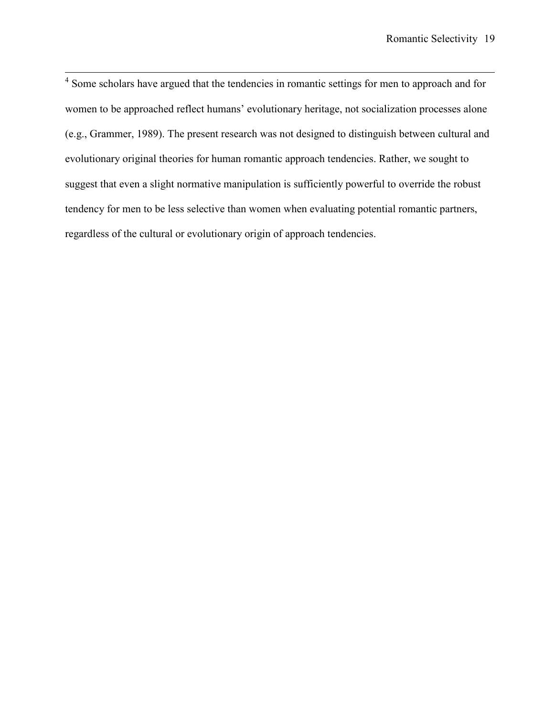<sup>4</sup> Some scholars have argued that the tendencies in romantic settings for men to approach and for women to be approached reflect humans' evolutionary heritage, not socialization processes alone (e.g., Grammer, 1989). The present research was not designed to distinguish between cultural and evolutionary original theories for human romantic approach tendencies. Rather, we sought to suggest that even a slight normative manipulation is sufficiently powerful to override the robust tendency for men to be less selective than women when evaluating potential romantic partners, regardless of the cultural or evolutionary origin of approach tendencies.